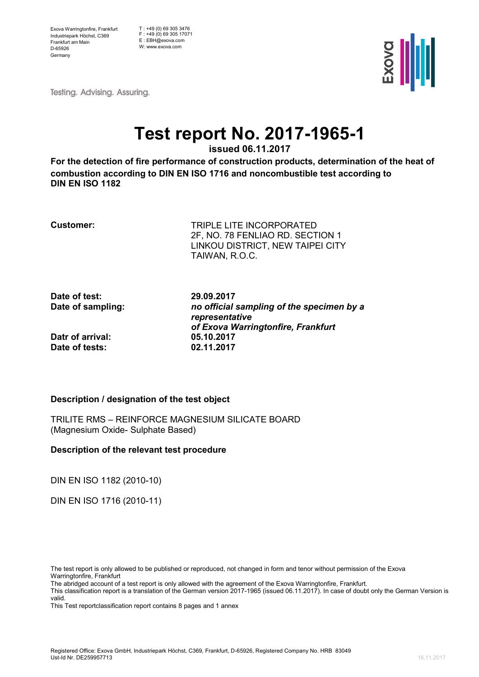Exova Warringtonfire, Frankfurt Industriepark Höchst, C369 Frankfurt am Main D-65926 Germany

 $T : +49(0)$  69 305 3476 F : +49 (0) 69 305 17071 E : EBH@exova.com W: www.exova.com



**Testing. Advising. Assuring.** 

# **Test report No. 2017-1965-1**

**issued 06.11.2017** 

**For the detection of fire performance of construction products, determination of the heat of combustion according to DIN EN ISO 1716 and noncombustible test according to DIN EN ISO 1182**

**Customer:** TRIPLE LITE INCORPORATED 2F, NO. 78 FENLIAO RD. SECTION 1 LINKOU DISTRICT, NEW TAIPEI CITY TAIWAN, R.O.C.

**Date of test: 29.09.2017**

**Date of sampling:** *no official sampling of the specimen by a representative of Exova Warringtonfire, Frankfurt*

### **Datr of arrival:** 05.10.2017<br> **Date of tests:** 02.11.2017 **Date of tests:**

### **Description / designation of the test object**

TRILITE RMS – REINFORCE MAGNESIUM SILICATE BOARD (Magnesium Oxide- Sulphate Based)

#### **Description of the relevant test procedure**

DIN EN ISO 1182 (2010-10)

DIN EN ISO 1716 (2010-11)

The abridged account of a test report is only allowed with the agreement of the Exova Warringtonfire, Frankfurt.

This Test reportclassification report contains 8 pages and 1 annex

The test report is only allowed to be published or reproduced, not changed in form and tenor without permission of the Exova Warringtonfire, Frankfurt

This classification report is a translation of the German version 2017-1965 (issued 06.11.2017). In case of doubt only the German Version is valid.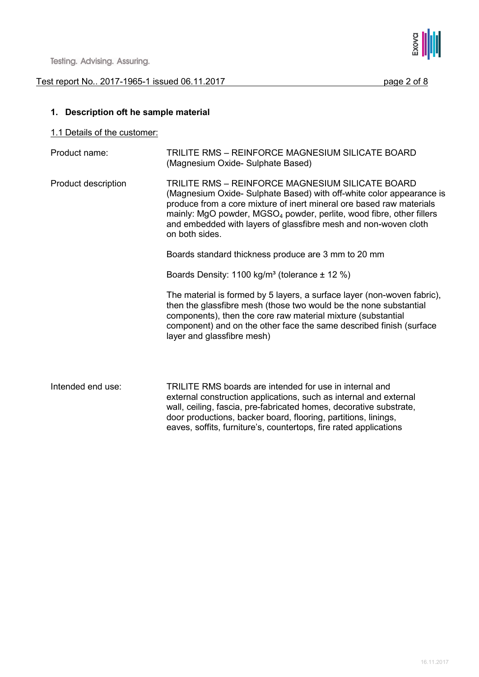



### **1. Description oft he sample material**

1.1 Details of the customer:

| Product name:       | TRILITE RMS - REINFORCE MAGNESIUM SILICATE BOARD<br>(Magnesium Oxide- Sulphate Based)                                                                                                                                                                                                                                                                                     |
|---------------------|---------------------------------------------------------------------------------------------------------------------------------------------------------------------------------------------------------------------------------------------------------------------------------------------------------------------------------------------------------------------------|
| Product description | TRILITE RMS - REINFORCE MAGNESIUM SILICATE BOARD<br>(Magnesium Oxide- Sulphate Based) with off-white color appearance is<br>produce from a core mixture of inert mineral ore based raw materials<br>mainly: MgO powder, MGSO <sub>4</sub> powder, perlite, wood fibre, other fillers<br>and embedded with layers of glassfibre mesh and non-woven cloth<br>on both sides. |
|                     | Boards standard thickness produce are 3 mm to 20 mm                                                                                                                                                                                                                                                                                                                       |
|                     | Boards Density: 1100 kg/m <sup>3</sup> (tolerance $\pm$ 12 %)                                                                                                                                                                                                                                                                                                             |
|                     | The material is formed by 5 layers, a surface layer (non-woven fabric),<br>then the glassfibre mesh (those two would be the none substantial<br>components), then the core raw material mixture (substantial<br>component) and on the other face the same described finish (surface<br>layer and glassfibre mesh)                                                         |
| Intended end use:   | TRILITE RMS boards are intended for use in internal and<br>external construction applications, such as internal and external<br>wall, ceiling, fascia, pre-fabricated homes, decorative substrate,<br>door productions, backer board, flooring, partitions, linings,<br>eaves, soffits, furniture's, countertops, fire rated applications                                 |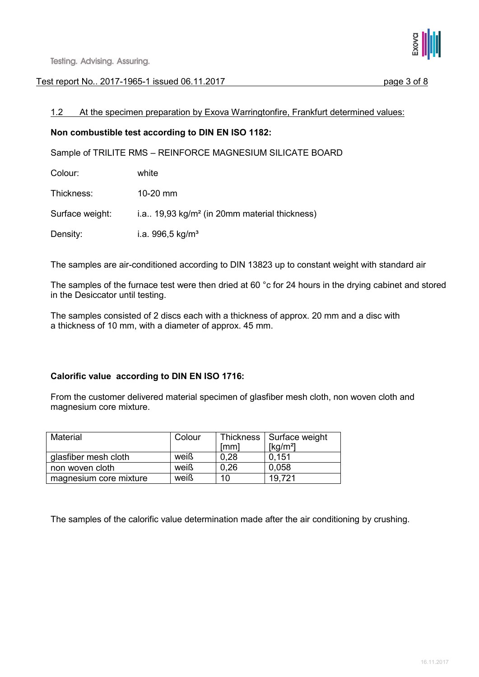

### 1.2 At the specimen preparation by Exova Warringtonfire, Frankfurt determined values:

### **Non combustible test according to DIN EN ISO 1182:**

Sample of TRILITE RMS – REINFORCE MAGNESIUM SILICATE BOARD

| Colour: | white |
|---------|-------|
|---------|-------|

Thickness: 10-20 mm

Surface weight: i.a.. 19,93 kg/m<sup>2</sup> (in 20mm material thickness)

Density: i.a. 996,5 kg/m<sup>3</sup>

The samples are air-conditioned according to DIN 13823 up to constant weight with standard air

The samples of the furnace test were then dried at 60 °c for 24 hours in the drying cabinet and stored in the Desiccator until testing.

The samples consisted of 2 discs each with a thickness of approx. 20 mm and a disc with a thickness of 10 mm, with a diameter of approx. 45 mm.

### **Calorific value according to DIN EN ISO 1716:**

From the customer delivered material specimen of glasfiber mesh cloth, non woven cloth and magnesium core mixture.

| Material               | Colour |      | Thickness   Surface weight |
|------------------------|--------|------|----------------------------|
|                        |        | [mm] | [kg/m <sup>2</sup> ]       |
| glasfiber mesh cloth   | weiß   | 0.28 | 0.151                      |
| non woven cloth        | weiß   | 0,26 | 0.058                      |
| magnesium core mixture | weiß   | 10   | 19.721                     |

The samples of the calorific value determination made after the air conditioning by crushing.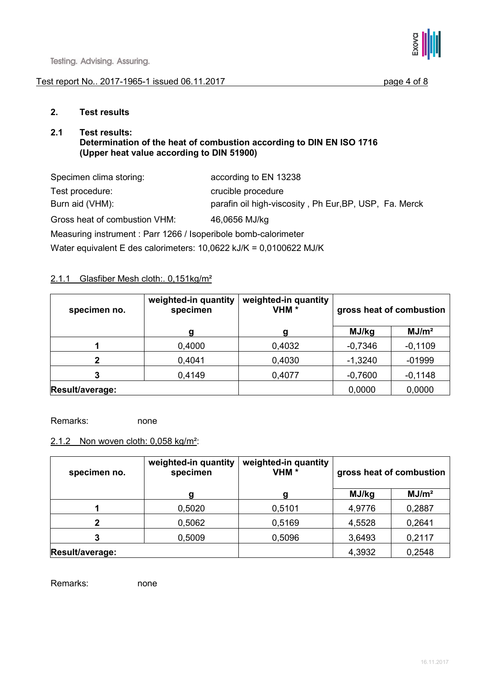#### Test report No. 2017-1965-1 issued 06.11.2017 page 4 of 8



### **2. Test results**

#### **2.1 Test results: Determination of the heat of combustion according to DIN EN ISO 1716 (Upper heat value according to DIN 51900)**

| Specimen clima storing:                                            | according to EN 13238                                  |
|--------------------------------------------------------------------|--------------------------------------------------------|
| Test procedure:                                                    | crucible procedure                                     |
| Burn aid (VHM):                                                    | parafin oil high-viscosity, Ph Eur, BP, USP, Fa. Merck |
| Gross heat of combustion VHM:                                      | 46,0656 MJ/kg                                          |
| Measuring instrument: Parr 1266 / Isoperibole bomb-calorimeter     |                                                        |
| Water equivalent E des calorimeters: 10,0622 kJ/K = 0,0100622 MJ/K |                                                        |

### 2.1.1 Glasfiber Mesh cloth:. 0,151kg/m²

| specimen no.    | weighted-in quantity<br>specimen | weighted-in quantity<br>VHM <sup>*</sup> | gross heat of combustion |                   |
|-----------------|----------------------------------|------------------------------------------|--------------------------|-------------------|
|                 | a                                | a                                        | MJ/kg                    | MJ/m <sup>2</sup> |
|                 | 0,4000                           | 0,4032                                   | $-0,7346$                | $-0,1109$         |
| 2               | 0,4041                           | 0,4030                                   | $-1,3240$                | $-01999$          |
| 3               | 0,4149                           | 0,4077                                   | $-0,7600$                | $-0,1148$         |
| Result/average: |                                  |                                          | 0,0000                   | 0,0000            |

Remarks: none

### 2.1.2 Non woven cloth: 0,058 kg/m²:

| specimen no.    | weighted-in quantity<br>specimen | weighted-in quantity<br>VHM <sup>*</sup> | gross heat of combustion |                   |
|-----------------|----------------------------------|------------------------------------------|--------------------------|-------------------|
|                 | a                                | a                                        | MJ/kg                    | MJ/m <sup>2</sup> |
|                 | 0,5020                           | 0,5101                                   | 4,9776                   | 0,2887            |
| 2               | 0,5062                           | 0,5169                                   | 4,5528                   | 0,2641            |
| 3               | 0,5009                           | 0,5096                                   | 3,6493                   | 0,2117            |
| Result/average: |                                  |                                          | 4,3932                   | 0,2548            |

Remarks: none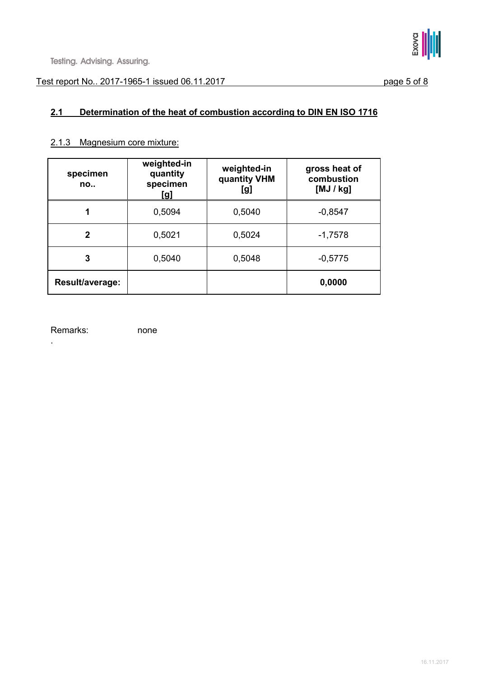## **2.1 Determination of the heat of combustion according to DIN EN ISO 1716**

#### 2.1.3 Magnesium core mixture:

| specimen<br>no  | weighted-in<br>quantity<br>specimen<br>[g] | weighted-in<br>quantity VHM<br>[g] | gross heat of<br>combustion<br>[MJ/Kg] |
|-----------------|--------------------------------------------|------------------------------------|----------------------------------------|
| 1               | 0,5094                                     | 0,5040                             | $-0,8547$                              |
| 2               | 0,5021                                     | 0,5024                             | $-1,7578$                              |
| 3               | 0,5040                                     | 0,5048                             | $-0,5775$                              |
| Result/average: |                                            |                                    | 0,0000                                 |

Remarks: none

.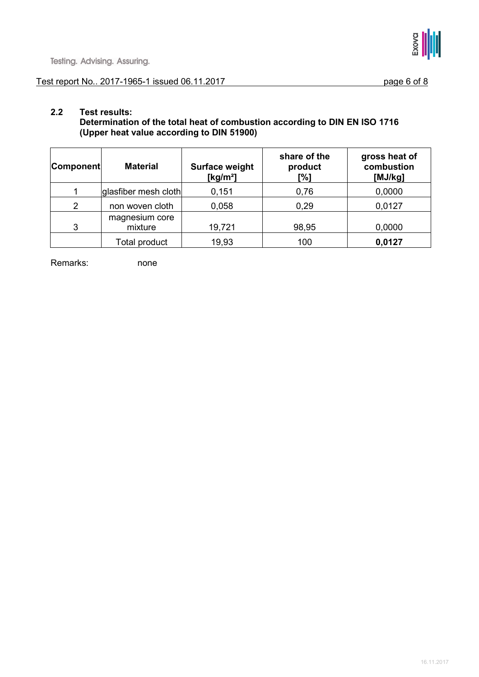

### Test report No.. 2017-1965-1 issued 06.11.2017 page 6 of 8

### **2.2 Test results:**

**Determination of the total heat of combustion according to DIN EN ISO 1716 (Upper heat value according to DIN 51900)** 

| Component      | <b>Material</b>           | <b>Surface weight</b><br>[ $kg/m2$ ] | share of the<br>product<br>[%] | gross heat of<br>combustion<br>[MJ/kg] |
|----------------|---------------------------|--------------------------------------|--------------------------------|----------------------------------------|
|                | glasfiber mesh cloth      | 0,151                                | 0,76                           | 0,0000                                 |
| $\overline{2}$ | non woven cloth           | 0,058                                | 0,29                           | 0,0127                                 |
| 3              | magnesium core<br>mixture | 19,721                               | 98,95                          | 0,0000                                 |
|                | Total product             | 19,93                                | 100                            | 0,0127                                 |

Remarks: none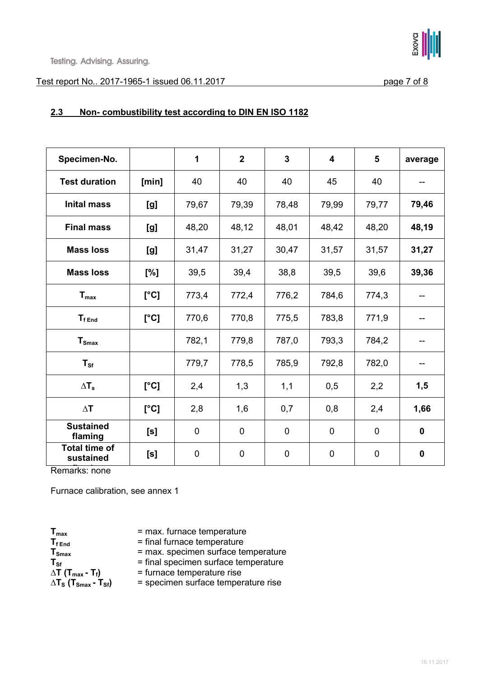

#### Test report No.. 2017-1965-1 issued 06.11.2017 page 7 of 8

### **2.3 Non- combustibility test according to DIN EN ISO 1182**

| Specimen-No.                      |       | 1           | $\overline{2}$ | $\overline{3}$ | $\overline{\mathbf{4}}$ | 5           | average     |
|-----------------------------------|-------|-------------|----------------|----------------|-------------------------|-------------|-------------|
| <b>Test duration</b>              | [min] | 40          | 40             | 40             | 45                      | 40          |             |
| <b>Inital mass</b>                | [g]   | 79,67       | 79,39          | 78,48          | 79,99                   | 79,77       | 79,46       |
| <b>Final mass</b>                 | [g]   | 48,20       | 48,12          | 48,01          | 48,42                   | 48,20       | 48,19       |
| <b>Mass loss</b>                  | [g]   | 31,47       | 31,27          | 30,47          | 31,57                   | 31,57       | 31,27       |
| <b>Mass loss</b>                  | [%]   | 39,5        | 39,4           | 38,8           | 39,5                    | 39,6        | 39,36       |
| $T_{\text{max}}$                  | [°C]  | 773,4       | 772,4          | 776,2          | 784,6                   | 774,3       | --          |
| $T_{fEnd}$                        | [°C]  | 770,6       | 770,8          | 775,5          | 783,8                   | 771,9       | --          |
| $T_{\text{Smax}}$                 |       | 782,1       | 779,8          | 787,0          | 793,3                   | 784,2       | --          |
| $T_{\rm{sf}}$                     |       | 779,7       | 778,5          | 785,9          | 792,8                   | 782,0       | --          |
| $\Delta T_s$                      | [°C]  | 2,4         | 1,3            | 1,1            | 0,5                     | 2,2         | 1,5         |
| $\Delta T$                        | [°C]  | 2,8         | 1,6            | 0,7            | 0,8                     | 2,4         | 1,66        |
| <b>Sustained</b><br>flaming       | [s]   | $\mathbf 0$ | 0              | $\mathbf 0$    | $\mathbf 0$             | $\mathbf 0$ | $\mathbf 0$ |
| <b>Total time of</b><br>sustained | [s]   | $\mathbf 0$ | $\mathbf 0$    | $\mathbf 0$    | $\overline{0}$          | $\mathbf 0$ | $\mathbf 0$ |

**flaming** Remarks: none

Furnace calibration, see annex 1

 $T_{\text{max}}$  = max. furnace temperature<br> $T_{\text{fEnd}}$  = final furnace temperature  $T_{f_{\text{End}}}$  = final furnace temperature<br> $T_{\text{Smax}}$  = max. specimen surface te  $\Delta T$  (T<sub>max</sub> **- T**<sub>f</sub>) = furnace temperature rise<br> $\Delta T_s$  (T<sub>smax</sub> **- T**<sub>sf</sub>) = specimen surface temper

- 
- 

**TSmax** = max. specimen surface temperature

 $T_{\text{Sf}}$  = final specimen surface temperature<br> $\Delta T$  ( $T_{\text{max}}$  -  $T_f$ ) = furnace temperature rise

**∆TS (TSmax - TSf)** = specimen surface temperature rise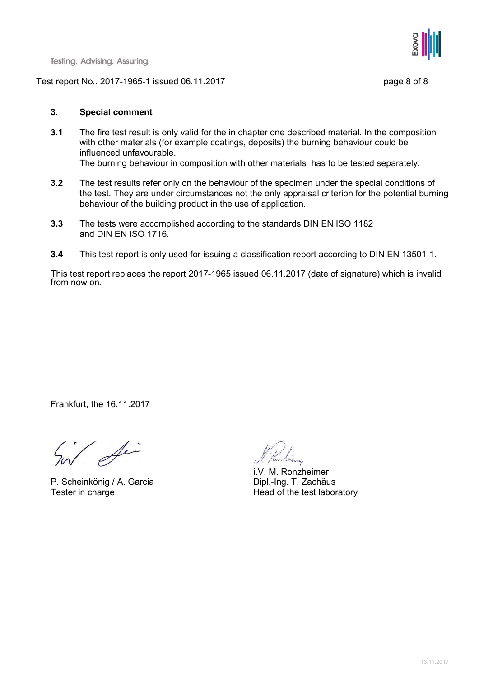#### Test report No.. 2017-1965-1 issued 06.11.2017 page 8 of 8



#### **3. Special comment**

- **3.1** The fire test result is only valid for the in chapter one described material. In the composition with other materials (for example coatings, deposits) the burning behaviour could be influenced unfavourable. The burning behaviour in composition with other materials has to be tested separately.
- **3.2** The test results refer only on the behaviour of the specimen under the special conditions of the test. They are under circumstances not the only appraisal criterion for the potential burning behaviour of the building product in the use of application.
- **3.3** The tests were accomplished according to the standards DIN EN ISO 1182 and DIN EN ISO 1716.
- **3.4** This test report is only used for issuing a classification report according to DIN EN 13501-1.

This test report replaces the report 2017-1965 issued 06.11.2017 (date of signature) which is invalid from now on.

Frankfurt, the 16.11.2017

/ Sir

P. Scheinkönig / A. Garcia Tester in charge Tester in charge Head of the test laboratory

i.V. M. Ronzheimer<br>Dipl.-Ing. T. Zachäus